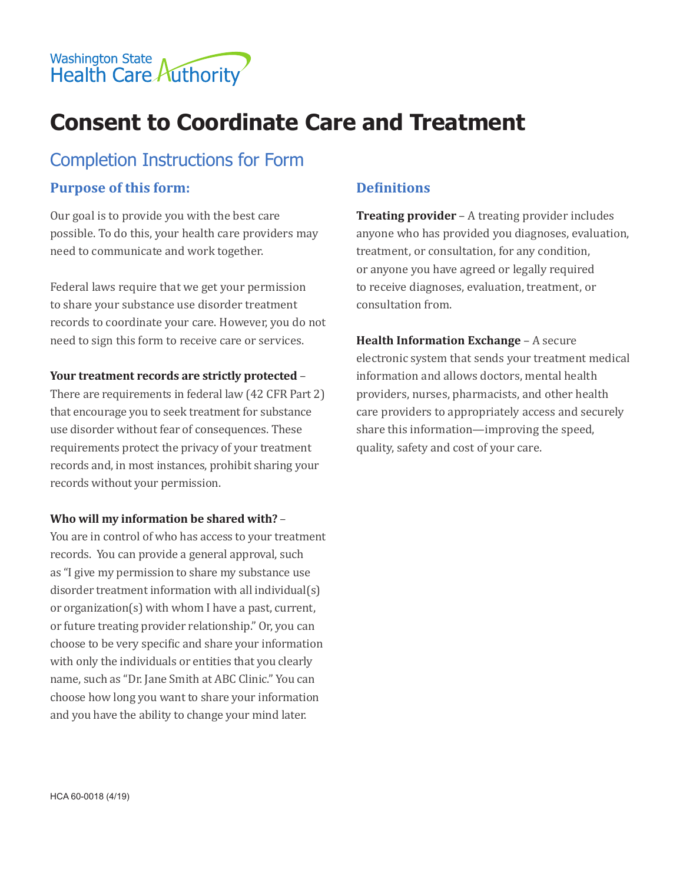

# **Consent to Coordinate Care and Treatment**

# Completion Instructions for Form

#### **Purpose of this form:**

Our goal is to provide you with the best care possible. To do this, your health care providers may need to communicate and work together.

Federal laws require that we get your permission to share your substance use disorder treatment records to coordinate your care. However, you do not need to sign this form to receive care or services.

#### **Your treatment records are strictly protected** –

There are requirements in federal law (42 CFR Part 2) that encourage you to seek treatment for substance use disorder without fear of consequences. These requirements protect the privacy of your treatment records and, in most instances, prohibit sharing your records without your permission.

#### **Who will my information be shared with?** –

You are in control of who has access to your treatment records. You can provide a general approval, such as "I give my permission to share my substance use disorder treatment information with all individual(s) or organization(s) with whom I have a past, current, or future treating provider relationship." Or, you can choose to be very specific and share your information with only the individuals or entities that you clearly name, such as "Dr. Jane Smith at ABC Clinic." You can choose how long you want to share your information and you have the ability to change your mind later.

# **Definitions**

**Treating provider** – A treating provider includes anyone who has provided you diagnoses, evaluation, treatment, or consultation, for any condition, or anyone you have agreed or legally required to receive diagnoses, evaluation, treatment, or consultation from.

**Health Information Exchange** – A secure electronic system that sends your treatment medical information and allows doctors, mental health providers, nurses, pharmacists, and other health care providers to appropriately access and securely share this information—improving the speed, quality, safety and cost of your care.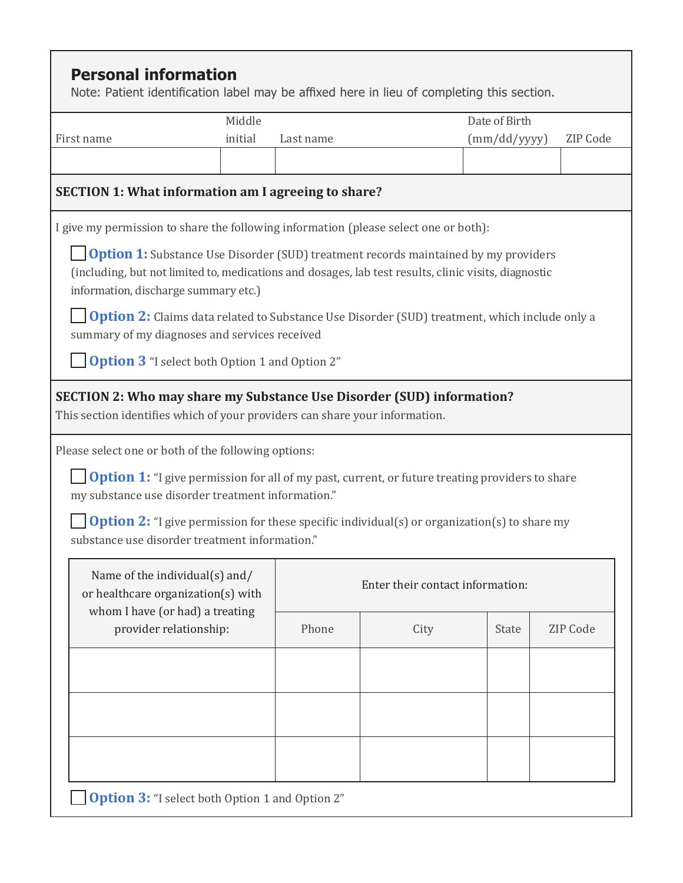|                                                                                                                                                                                                                                            | Middle  |                                                                                                        |                                  |                                 | Date of Birth   |  |  |
|--------------------------------------------------------------------------------------------------------------------------------------------------------------------------------------------------------------------------------------------|---------|--------------------------------------------------------------------------------------------------------|----------------------------------|---------------------------------|-----------------|--|--|
| First name                                                                                                                                                                                                                                 | initial | Last name                                                                                              |                                  | (mm/dd/yyyy)<br><b>ZIP Code</b> |                 |  |  |
|                                                                                                                                                                                                                                            |         |                                                                                                        |                                  |                                 |                 |  |  |
| <b>SECTION 1: What information am I agreeing to share?</b>                                                                                                                                                                                 |         |                                                                                                        |                                  |                                 |                 |  |  |
| I give my permission to share the following information (please select one or both):                                                                                                                                                       |         |                                                                                                        |                                  |                                 |                 |  |  |
| <b>Option 1:</b> Substance Use Disorder (SUD) treatment records maintained by my providers<br>(including, but not limited to, medications and dosages, lab test results, clinic visits, diagnostic<br>information, discharge summary etc.) |         |                                                                                                        |                                  |                                 |                 |  |  |
| summary of my diagnoses and services received                                                                                                                                                                                              |         | <b>Option 2:</b> Claims data related to Substance Use Disorder (SUD) treatment, which include only a   |                                  |                                 |                 |  |  |
|                                                                                                                                                                                                                                            |         |                                                                                                        |                                  |                                 |                 |  |  |
| <b>Option 3</b> "I select both Option 1 and Option 2"<br>SECTION 2: Who may share my Substance Use Disorder (SUD) information?                                                                                                             |         |                                                                                                        |                                  |                                 |                 |  |  |
|                                                                                                                                                                                                                                            |         | <b>Option 1:</b> "I give permission for all of my past, current, or future treating providers to share |                                  |                                 |                 |  |  |
| This section identifies which of your providers can share your information.<br>Please select one or both of the following options:<br>my substance use disorder treatment information."<br>substance use disorder treatment information."  |         | <b>Option 2:</b> "I give permission for these specific individual(s) or organization(s) to share my    |                                  |                                 |                 |  |  |
| Name of the individual(s) and/<br>or healthcare organization(s) with                                                                                                                                                                       |         |                                                                                                        | Enter their contact information: |                                 |                 |  |  |
| whom I have (or had) a treating<br>provider relationship:                                                                                                                                                                                  |         | Phone                                                                                                  | City                             | <b>State</b>                    | <b>ZIP Code</b> |  |  |
|                                                                                                                                                                                                                                            |         |                                                                                                        |                                  |                                 |                 |  |  |
|                                                                                                                                                                                                                                            |         |                                                                                                        |                                  |                                 |                 |  |  |
|                                                                                                                                                                                                                                            |         |                                                                                                        |                                  |                                 |                 |  |  |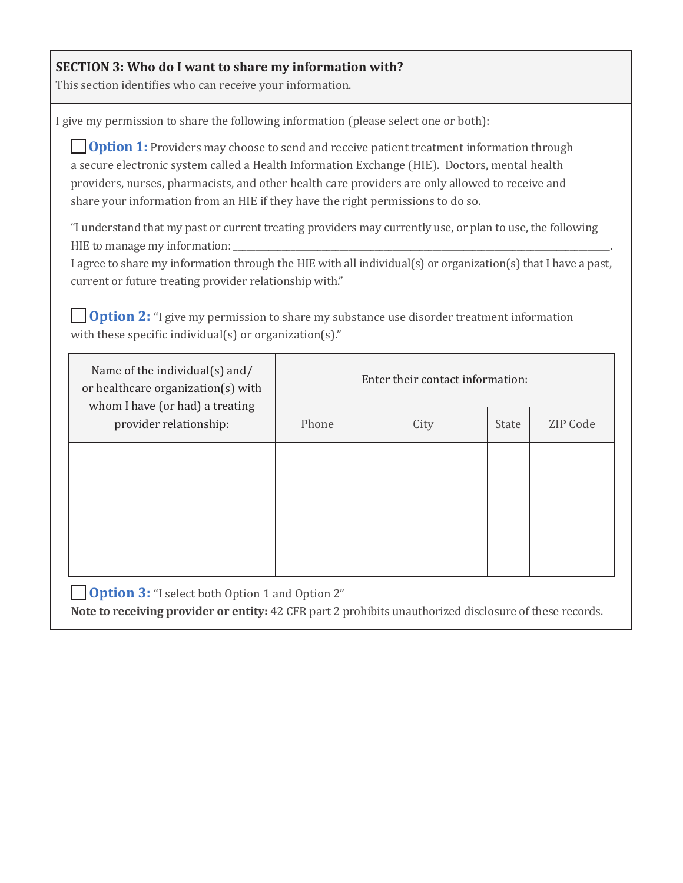## **SECTION 3: Who do I want to share my information with?**

This section identifies who can receive your information.

I give my permission to share the following information (please select one or both):

**Option 1:** Providers may choose to send and receive patient treatment information through a secure electronic system called a Health Information Exchange (HIE). Doctors, mental health providers, nurses, pharmacists, and other health care providers are only allowed to receive and share your information from an HIE if they have the right permissions to do so.

"I understand that my past or current treating providers may currently use, or plan to use, the following HIE to manage my information:

I agree to share my information through the HIE with all individual(s) or organization(s) that I have a past, current or future treating provider relationship with."

**Option 2:** "I give my permission to share my substance use disorder treatment information with these specific individual(s) or organization(s)."

| Name of the individual(s) and/<br>or healthcare organization(s) with<br>whom I have (or had) a treating<br>provider relationship: | Enter their contact information: |      |       |          |  |
|-----------------------------------------------------------------------------------------------------------------------------------|----------------------------------|------|-------|----------|--|
|                                                                                                                                   | Phone                            | City | State | ZIP Code |  |
|                                                                                                                                   |                                  |      |       |          |  |
|                                                                                                                                   |                                  |      |       |          |  |
|                                                                                                                                   |                                  |      |       |          |  |

**Option 3:** "I select both Option 1 and Option 2"

**Note to receiving provider or entity:** 42 CFR part 2 prohibits unauthorized disclosure of these records.